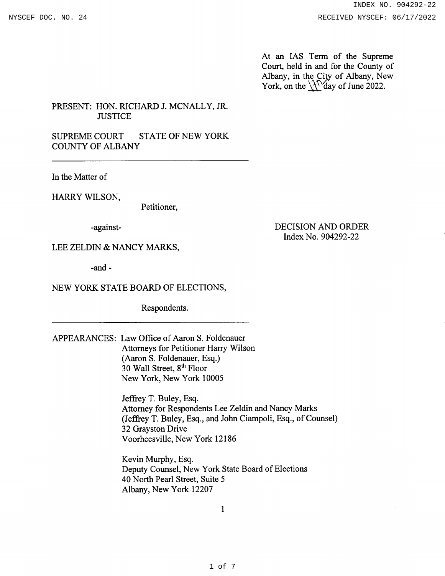At an IAS Term of the Supreme Court, held in and for the County of Albany, in the City of Albany, New York, on the  $\sqrt{\frac{1}{2}}$  day of June 2022.

## PRESENT: HON. RICHARD J. MCNALLY, JR. **JUSTICE**

SUPREME COURT STATE OF NEW YORK COUNTY OF ALBANY

In the Matter of

HARRY WILSON,

Petitioner,

-against-

DECISION AND ORDER Index No.904292-22

LEE ZELDIN & NANCY MARKS,

-and -

## NEW YORK STATE BOARD OF ELECTIONS,

Respondents

APPEARANCES: Law Office of Aaron S. Foldenauer Attorneys for Petitioner Harry Wilson (Aaron S. Foldenauer, Esq.) 30 Wall Street, 8<sup>th</sup> Floor New York, New York 10005

> Jeffrey T. Buley, Esq. Attomey for Respondents Lee Zeldin and Nancy Marks (Jeffrey T. Buley, Esq., and John Ciampoli, Esq., of Counsel) 32 Grayston Drive Voorheesville, New York 12186

Kevin Murphy, Esq Deputy Counsel, New York State Board of Elections 40 North Pearl Street, Suite <sup>5</sup> Albany, New York 12207

I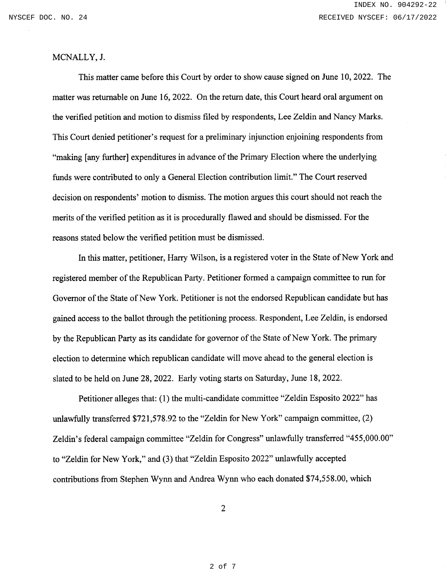## MCNALLY, J.

This matter came before this Court by order to show cause signed on June 10,2022. The matter was returnable on June 16,2022. On the return date, this Court heard oral argument on the verified petition and motion to dismiss frled by respondents, Lee Zeldin and Nancy Marks. This Court denied petitioner's request for a preliminary injunction enjoining respondents from "making [any further] expenditures in advance of the Primary Election where the underlying funds were contributed to only a General Election contribution limit." The Court reserved decision on respondents' motion to dismiss. The motion argues this court should not reach the merits of the verified petition as it is procedurally flawed and should be dismissed. For the reasons stated below the verified petition must be dismissed.

In this matter, petitioner, Harry Wilson, is a registered voter in the State of New York and registered member of the Republican Party. Petitioner formed a campaign committee to run for Govemor of the State of New York. Petitioner is not the endorsed Republican candidate but has gained access to the ballot through the petitioning process. Respondent,Lee Zeldin, is endorsed by the Republican Party as its candidate for governor of the State of New York. The primary election to determine which republican candidate will move ahead to the general election is slated to be held on June 28,2022. Early voting starts on Saturday, June 18,2022.

Petitioner alleges that: (1) the multi-candidate committee "Zeldin Esposito 2022" has unlawfully transferred \$721,578.92 to the "Zeldin for New York" campaign committee, (2) Zeldin's federal campaign committee "Zeldin for Congress" unlawfully transferred "455,000.00" to "Zeldin for New York," and (3) that "Zeldin Esposito 2022" unlawfully accepted contributions from Stephen Wynn and Andrea Wynn who each donated \$74,558.00, which

2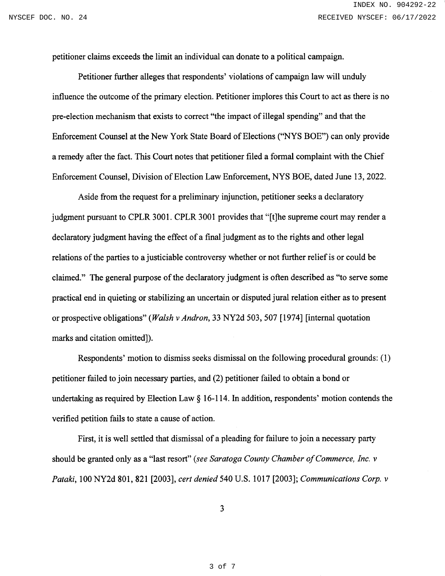petitioner claims exceeds the limit an individual can donate to a political campaign.

Petitioner further alleges that respondents' violations of campaign law will unduly influence the outcome of the primary election. Petitioner implores this Court to act as there is no pre-election mechanism that exists to correct "the impact of illegal spending" and that the Enforcement Counsel at the New York State Board of Elections ('NYS BOE") can only provide a remedy after the fact. This Court notes that petitioner filed a formal complaint with the Chief Enforcement Counsel, Division of Election Law Enforcement, NYS BOE, dated June 13, 2022.

Aside from the request for a preliminary injunction, petitioner seeks a declaratory judgment pursuant to CPLR 3001. CPLR 3001 provides that "[t]he supreme court may render a declaratory judgment having the effect of a final judgment as to the rights and other legal relations of the parties to a justiciable controversy whether or not further relief is or could be claimed." The general purpose of the declaratory judgment is often described as "to serve some practical end in quieting or stabilizing an uncertain or disputed jural relation either as to present or prospective obligations" (Walsh v Andron, 33 NY2d 503, 507 [1974] [internal quotation marks and citation omitted]).

Respondents' motion to dismiss seeks dismissal on the following procedural grounds: (l) petitioner failed to join necessary parties, and (2) petitioner failed to obtain a bond or undertaking as required by Election Law  $\S$  16-114. In addition, respondents' motion contends the verified petition fails to state a cause of action.

First, it is well settled that dismissal of a pleading for failure to join a necessary party should be granted only as a "last resort" (see Saratoga County Chamber of Commerce, Inc. v Pataki, 100 NY2d 801, 821 [2003], cert denied 540 U.S. 1017 [2003]; Communications Corp. v

)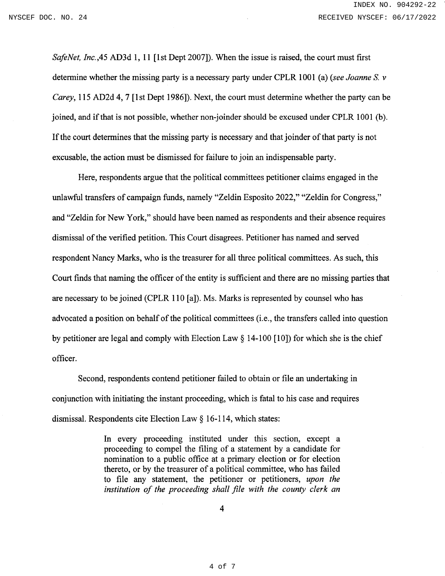SafeNet, Inc., 45 AD3d 1, 11 [1st Dept 2007]). When the issue is raised, the court must first determine whether the missing party is a necessary party under CPLR 1001 (a) (see Joanne S. v Carey, 115 AD2d 4, 7 [1st Dept 1986]). Next, the court must determine whether the party can be joined, and if that is not possible, whether non-joinder should be excused under CPLR l00l (b). If the court determines that the missing party is necessary and that joinder of that party is not excusable, the action must be dismissed for failure to join an indispensable party.

Here, respondents argue that the political committees petitioner claims engaged in the unlawful transfers of campaign funds, namely "Zeldin Esposito 2022," "Zeldin for Congress," and"Zeldin for New York," should have been named as respondents and their absence requires dismissal of the verified petition. This Court disagrees. Petitioner has named and served respondent Nancy Marks, who is the treasurer for all three political committees. As such, this Court finds that naming the officer of the entity is suffrcient and there are no missing parties that are necessary to be joined (CPLR 110 [a]). Ms. Marks is represented by counsel who has advocated a position on behalf of the political committees (i.e., the transfers called into question by petitioner are legal and comply with Election Law  $\S$  14-100 [10]) for which she is the chief officer.

Second, respondents contend petitioner failed to obtain or file an undertaking in conjunction with initiating the instant proceeding, which is fatal to his case and requires dismissal. Respondents cite Election Law \$ 16-114, which states:

> In every proceeding instituted under this section, except <sup>a</sup> proceeding to compel the filing of a statement by a candidate for nomination to a public office at a primary election or for election thereto, or by the treasurer of a political committee, who has failed to file any statement, the petitioner or petitioners, upon the institution of the proceeding shall file with the county clerk an

> > 4

4 of 7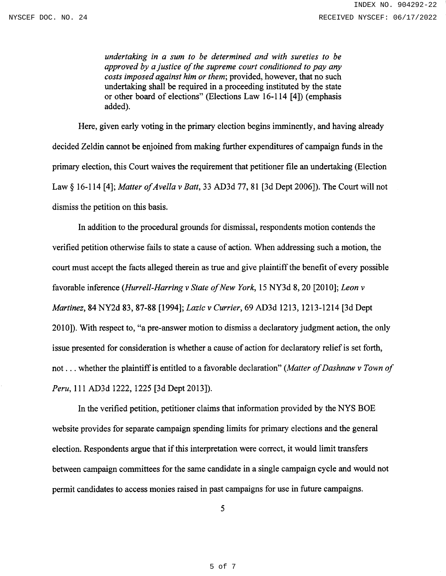undertaking in a sum to be determined and with sureties to be approved by a justice of the supreme court conditioned to pay any costs imposed against him or them; provided, however, that no such undertaking shall be required in a proceeding instituted by the state or other board of elections" (Elections Law 16-114 [4]) (emphasis added).

Here, given early voting in the primary election begins imminently, and having already decided Zeldin cannot be enjoined from making further expenditures of campaign funds in the primary election, this Court waives the requirement that petitioner file an undertaking (Election Law § 16-114 [4]; Matter of Avella v Batt, 33 AD3d 77, 81 [3d Dept 2006]). The Court will not dismiss the petition on this basis.

In addition to the procedural grounds for dismissal, respondents motion contends the verified petition otherwise fails to state a cause of action. When addressing such a motion, the court must accept the facts alleged therein as true and give plaintiff the benefit of every possible favorable inference (Hurrell-Harring v State of New York, 15 NY3d 8, 20 [2010]; Leon v Martinez, 84 NY2d 83, 87-88 [1994]; Lazic v Currier, 69 AD3d 1213, 1213-1214 [3d Dept 2010]). With respect to, "a pre-answer motion to dismiss a declaratory judgment action, the only issue presented for consideration is whether a cause of action for declaratory relief is set forth, not ... whether the plaintiff is entitled to a favorable declaration" (Matter of Dashnaw v Town of Peru, 111 AD3d 1222, 1225 [3d Dept 2013]).

In the verified petition, petitioner claims that information provided by the NYS BOE website provides for separate campaign spending limits for primary elections and the general election. Respondents argue that if this interpretation were correct, it would limit transfers between campaign committees for the same candidate in a single campaign cycle and would not permit candidates to access monies raised in past campaigns for use in future campaigns.

5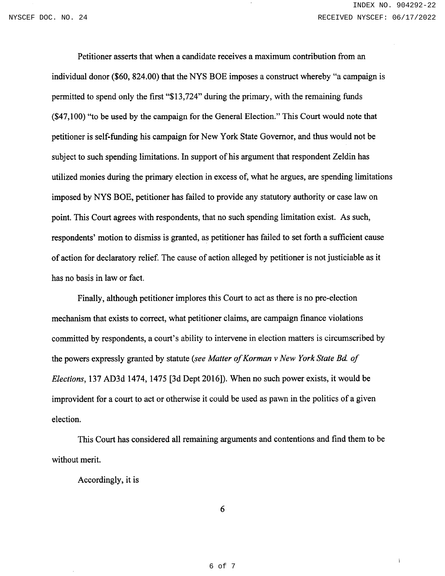$\overline{1}$ 

Petitioner asserts that when a candidate receives a maximum contribution from an individual donor (\$60, 824.00) that the NYS BOE imposes a construct whereby "a campaign is permitted to spend only the first "\$13,724" during the primary, with the remaining funds (\$47,100) "to be used by the campaign for the General Election." This Court would note that petitioner is self-funding his campaign for New York State Govemor, and thus would not be subject to such spending limitations. In support of his argument that respondent Zeldin has utilized monies during the primary election in excess of, what he argues, are spending limitations imposed by NYS BOE, petitioner has failed to provide any statutory authority or case law on point. This Court agrees with respondents, that no such spending limitation exist. As such, respondents' motion to dismiss is granted, as petitioner has failed to set forth a sufficient cause of action for declaratory relief. The cause of action alleged by petitioner is not justiciable as it has no basis in law or fact.

Finally, although petitioner implores this Court to act as there is no pre-election mechanism that exists to correct, what petitioner claims, are campaign finance violations committed by respondents, a court's ability to intervene in election matters is circumscribed by the powers expressly granted by statute (see Matter of Korman v New York State Bd. of Elections, 137 AD3d 1474, 1475 [3d Dept 2016]). When no such power exists, it would be improvident for a court to act or otherwise it could be used as pawn in the politics of a given election.

This Court has considered all remaining arguments and contentions and find them to be without merit.

Accordingly, it is

6

6 of 7